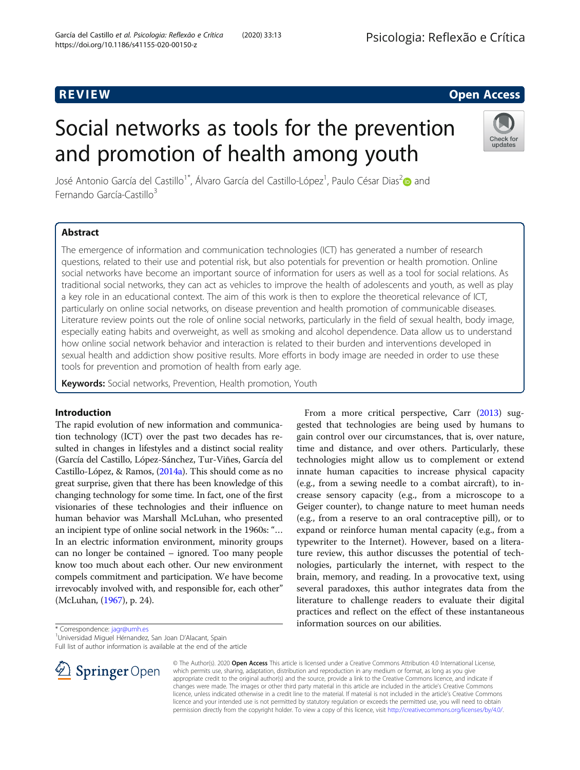## R EVI EW Open Access

# Social networks as tools for the prevention and promotion of health among youth



José Antonio García del Castillo<sup>1\*</sup>, Álvaro García del Castillo-López<sup>1</sup>, Paulo César Dias<sup>2</sup> $\textcolor{red}{\bullet}$  and Fernando García-Castillo<sup>3</sup>

## Abstract

The emergence of information and communication technologies (ICT) has generated a number of research questions, related to their use and potential risk, but also potentials for prevention or health promotion. Online social networks have become an important source of information for users as well as a tool for social relations. As traditional social networks, they can act as vehicles to improve the health of adolescents and youth, as well as play a key role in an educational context. The aim of this work is then to explore the theoretical relevance of ICT, particularly on online social networks, on disease prevention and health promotion of communicable diseases. Literature review points out the role of online social networks, particularly in the field of sexual health, body image, especially eating habits and overweight, as well as smoking and alcohol dependence. Data allow us to understand how online social network behavior and interaction is related to their burden and interventions developed in sexual health and addiction show positive results. More efforts in body image are needed in order to use these tools for prevention and promotion of health from early age.

Keywords: Social networks, Prevention, Health promotion, Youth

#### Introduction

The rapid evolution of new information and communication technology (ICT) over the past two decades has resulted in changes in lifestyles and a distinct social reality (García del Castillo, López-Sánchez, Tur-Viñes, García del Castillo-López, & Ramos, ([2014a](#page-7-0)). This should come as no great surprise, given that there has been knowledge of this changing technology for some time. In fact, one of the first visionaries of these technologies and their influence on human behavior was Marshall McLuhan, who presented an incipient type of online social network in the 1960s: "… In an electric information environment, minority groups can no longer be contained – ignored. Too many people know too much about each other. Our new environment compels commitment and participation. We have become irrevocably involved with, and responsible for, each other" (McLuhan, [\(1967\)](#page-7-0), p. 24).

From a more critical perspective, Carr ([2013](#page-6-0)) suggested that technologies are being used by humans to gain control over our circumstances, that is, over nature, time and distance, and over others. Particularly, these technologies might allow us to complement or extend innate human capacities to increase physical capacity (e.g., from a sewing needle to a combat aircraft), to increase sensory capacity (e.g., from a microscope to a Geiger counter), to change nature to meet human needs (e.g., from a reserve to an oral contraceptive pill), or to expand or reinforce human mental capacity (e.g., from a typewriter to the Internet). However, based on a literature review, this author discusses the potential of technologies, particularly the internet, with respect to the brain, memory, and reading. In a provocative text, using several paradoxes, this author integrates data from the literature to challenge readers to evaluate their digital practices and reflect on the effect of these instantaneous information sources on our abilities.

Universidad Miguel Hérnandez, San Joan D'Alacant, Spain

Full list of author information is available at the end of the article



© The Author(s). 2020 Open Access This article is licensed under a Creative Commons Attribution 4.0 International License, which permits use, sharing, adaptation, distribution and reproduction in any medium or format, as long as you give appropriate credit to the original author(s) and the source, provide a link to the Creative Commons licence, and indicate if changes were made. The images or other third party material in this article are included in the article's Creative Commons licence, unless indicated otherwise in a credit line to the material. If material is not included in the article's Creative Commons licence and your intended use is not permitted by statutory regulation or exceeds the permitted use, you will need to obtain permission directly from the copyright holder. To view a copy of this licence, visit <http://creativecommons.org/licenses/by/4.0/>.

<sup>\*</sup> Correspondence: [jagr@umh.es](mailto:jagr@umh.es) <sup>1</sup>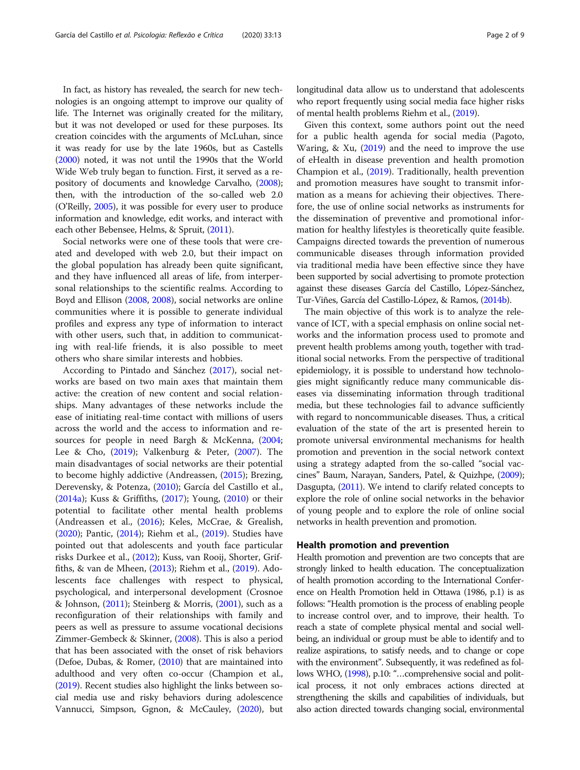In fact, as history has revealed, the search for new technologies is an ongoing attempt to improve our quality of life. The Internet was originally created for the military, but it was not developed or used for these purposes. Its creation coincides with the arguments of McLuhan, since it was ready for use by the late 1960s, but as Castells ([2000](#page-6-0)) noted, it was not until the 1990s that the World Wide Web truly began to function. First, it served as a repository of documents and knowledge Carvalho, [\(2008](#page-6-0)); then, with the introduction of the so-called web 2.0 (O'Reilly, [2005\)](#page-7-0), it was possible for every user to produce information and knowledge, edit works, and interact with each other Bebensee, Helms, & Spruit, ([2011\)](#page-6-0).

Social networks were one of these tools that were created and developed with web 2.0, but their impact on the global population has already been quite significant, and they have influenced all areas of life, from interpersonal relationships to the scientific realms. According to Boyd and Ellison ([2008](#page-6-0), [2008\)](#page-6-0), social networks are online communities where it is possible to generate individual profiles and express any type of information to interact with other users, such that, in addition to communicating with real-life friends, it is also possible to meet others who share similar interests and hobbies.

According to Pintado and Sánchez [\(2017\)](#page-7-0), social networks are based on two main axes that maintain them active: the creation of new content and social relationships. Many advantages of these networks include the ease of initiating real-time contact with millions of users across the world and the access to information and resources for people in need Bargh & McKenna, ([2004](#page-6-0); Lee & Cho, ([2019](#page-7-0)); Valkenburg & Peter, ([2007\)](#page-8-0). The main disadvantages of social networks are their potential to become highly addictive (Andreassen, [\(2015](#page-6-0)); Brezing, Derevensky, & Potenza, ([2010](#page-6-0)); García del Castillo et al., ([2014a\)](#page-7-0); Kuss & Griffiths, ([2017\)](#page-7-0); Young, ([2010\)](#page-8-0) or their potential to facilitate other mental health problems (Andreassen et al., [\(2016\)](#page-6-0); Keles, McCrae, & Grealish, ([2020](#page-7-0)); Pantic, ([2014](#page-7-0)); Riehm et al., [\(2019](#page-7-0)). Studies have pointed out that adolescents and youth face particular risks Durkee et al., [\(2012\)](#page-7-0); Kuss, van Rooij, Shorter, Griffiths, & van de Mheen, [\(2013](#page-7-0)); Riehm et al., ([2019](#page-7-0)). Adolescents face challenges with respect to physical, psychological, and interpersonal development (Crosnoe & Johnson, ([2011](#page-6-0)); Steinberg & Morris, ([2001\)](#page-8-0), such as a reconfiguration of their relationships with family and peers as well as pressure to assume vocational decisions Zimmer-Gembeck & Skinner, [\(2008\)](#page-8-0). This is also a period that has been associated with the onset of risk behaviors (Defoe, Dubas, & Romer, ([2010\)](#page-6-0) that are maintained into adulthood and very often co-occur (Champion et al., ([2019](#page-6-0)). Recent studies also highlight the links between social media use and risky behaviors during adolescence Vannucci, Simpson, Ggnon, & McCauley, ([2020\)](#page-8-0), but longitudinal data allow us to understand that adolescents who report frequently using social media face higher risks of mental health problems Riehm et al., [\(2019](#page-7-0)).

Given this context, some authors point out the need for a public health agenda for social media (Pagoto, Waring, & Xu, [\(2019](#page-7-0)) and the need to improve the use of eHealth in disease prevention and health promotion Champion et al., ([2019](#page-6-0)). Traditionally, health prevention and promotion measures have sought to transmit information as a means for achieving their objectives. Therefore, the use of online social networks as instruments for the dissemination of preventive and promotional information for healthy lifestyles is theoretically quite feasible. Campaigns directed towards the prevention of numerous communicable diseases through information provided via traditional media have been effective since they have been supported by social advertising to promote protection against these diseases García del Castillo, López-Sánchez, Tur-Viñes, García del Castillo-López, & Ramos, ([2014b](#page-7-0)).

The main objective of this work is to analyze the relevance of ICT, with a special emphasis on online social networks and the information process used to promote and prevent health problems among youth, together with traditional social networks. From the perspective of traditional epidemiology, it is possible to understand how technologies might significantly reduce many communicable diseases via disseminating information through traditional media, but these technologies fail to advance sufficiently with regard to noncommunicable diseases. Thus, a critical evaluation of the state of the art is presented herein to promote universal environmental mechanisms for health promotion and prevention in the social network context using a strategy adapted from the so-called "social vaccines" Baum, Narayan, Sanders, Patel, & Quizhpe, [\(2009](#page-6-0)); Dasgupta, [\(2011\)](#page-6-0). We intend to clarify related concepts to explore the role of online social networks in the behavior of young people and to explore the role of online social networks in health prevention and promotion.

#### Health promotion and prevention

Health promotion and prevention are two concepts that are strongly linked to health education. The conceptualization of health promotion according to the International Conference on Health Promotion held in Ottawa (1986, p.1) is as follows: "Health promotion is the process of enabling people to increase control over, and to improve, their health. To reach a state of complete physical mental and social wellbeing, an individual or group must be able to identify and to realize aspirations, to satisfy needs, and to change or cope with the environment". Subsequently, it was redefined as fol-lows WHO, [\(1998\)](#page-8-0), p.10: "...comprehensive social and political process, it not only embraces actions directed at strengthening the skills and capabilities of individuals, but also action directed towards changing social, environmental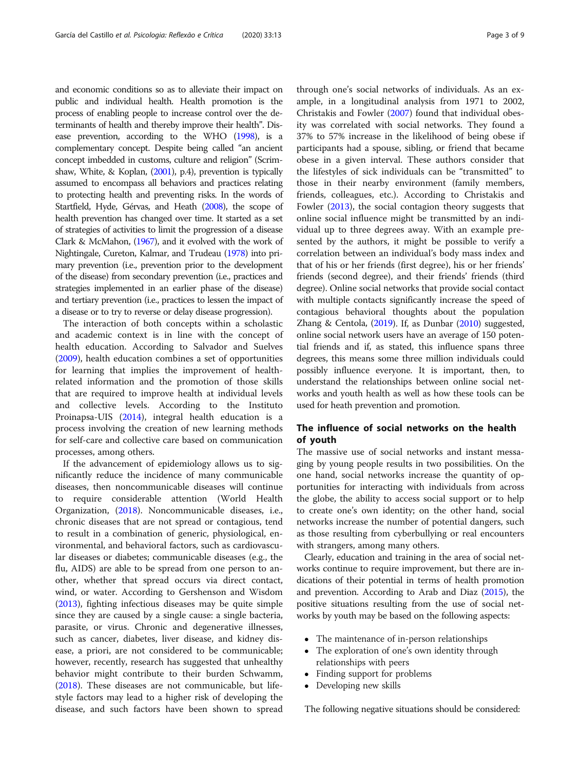and economic conditions so as to alleviate their impact on public and individual health. Health promotion is the process of enabling people to increase control over the determinants of health and thereby improve their health". Disease prevention, according to the WHO [\(1998](#page-8-0)), is a complementary concept. Despite being called "an ancient concept imbedded in customs, culture and religion" (Scrimshaw, White, & Koplan, ([2001](#page-8-0)), p.4), prevention is typically assumed to encompass all behaviors and practices relating to protecting health and preventing risks. In the words of Startfield, Hyde, Gérvas, and Heath [\(2008\)](#page-8-0), the scope of health prevention has changed over time. It started as a set of strategies of activities to limit the progression of a disease Clark & McMahon, [\(1967\)](#page-6-0), and it evolved with the work of Nightingale, Cureton, Kalmar, and Trudeau [\(1978\)](#page-7-0) into primary prevention (i.e., prevention prior to the development of the disease) from secondary prevention (i.e., practices and strategies implemented in an earlier phase of the disease) and tertiary prevention (i.e., practices to lessen the impact of a disease or to try to reverse or delay disease progression).

The interaction of both concepts within a scholastic and academic context is in line with the concept of health education. According to Salvador and Suelves ([2009](#page-7-0)), health education combines a set of opportunities for learning that implies the improvement of healthrelated information and the promotion of those skills that are required to improve health at individual levels and collective levels. According to the Instituto Proinapsa-UIS ([2014](#page-7-0)), integral health education is a process involving the creation of new learning methods for self-care and collective care based on communication processes, among others.

If the advancement of epidemiology allows us to significantly reduce the incidence of many communicable diseases, then noncommunicable diseases will continue to require considerable attention (World Health Organization, [\(2018](#page-8-0)). Noncommunicable diseases, i.e., chronic diseases that are not spread or contagious, tend to result in a combination of generic, physiological, environmental, and behavioral factors, such as cardiovascular diseases or diabetes; communicable diseases (e.g., the flu, AIDS) are able to be spread from one person to another, whether that spread occurs via direct contact, wind, or water. According to Gershenson and Wisdom ([2013](#page-7-0)), fighting infectious diseases may be quite simple since they are caused by a single cause: a single bacteria, parasite, or virus. Chronic and degenerative illnesses, such as cancer, diabetes, liver disease, and kidney disease, a priori, are not considered to be communicable; however, recently, research has suggested that unhealthy behavior might contribute to their burden Schwamm, ([2018](#page-8-0)). These diseases are not communicable, but lifestyle factors may lead to a higher risk of developing the disease, and such factors have been shown to spread

through one's social networks of individuals. As an example, in a longitudinal analysis from 1971 to 2002, Christakis and Fowler ([2007\)](#page-6-0) found that individual obesity was correlated with social networks. They found a 37% to 57% increase in the likelihood of being obese if participants had a spouse, sibling, or friend that became obese in a given interval. These authors consider that the lifestyles of sick individuals can be "transmitted" to those in their nearby environment (family members, friends, colleagues, etc.). According to Christakis and Fowler [\(2013\)](#page-6-0), the social contagion theory suggests that online social influence might be transmitted by an individual up to three degrees away. With an example presented by the authors, it might be possible to verify a correlation between an individual's body mass index and that of his or her friends (first degree), his or her friends' friends (second degree), and their friends' friends (third degree). Online social networks that provide social contact with multiple contacts significantly increase the speed of contagious behavioral thoughts about the population Zhang & Centola, [\(2019](#page-8-0)). If, as Dunbar [\(2010](#page-7-0)) suggested, online social network users have an average of 150 potential friends and if, as stated, this influence spans three degrees, this means some three million individuals could possibly influence everyone. It is important, then, to understand the relationships between online social networks and youth health as well as how these tools can be used for heath prevention and promotion.

#### The influence of social networks on the health of youth

The massive use of social networks and instant messaging by young people results in two possibilities. On the one hand, social networks increase the quantity of opportunities for interacting with individuals from across the globe, the ability to access social support or to help to create one's own identity; on the other hand, social networks increase the number of potential dangers, such as those resulting from cyberbullying or real encounters with strangers, among many others.

Clearly, education and training in the area of social networks continue to require improvement, but there are indications of their potential in terms of health promotion and prevention. According to Arab and Diaz ([2015\)](#page-6-0), the positive situations resulting from the use of social networks by youth may be based on the following aspects:

- The maintenance of in-person relationships
- The exploration of one's own identity through relationships with peers
- Finding support for problems
- Developing new skills

The following negative situations should be considered: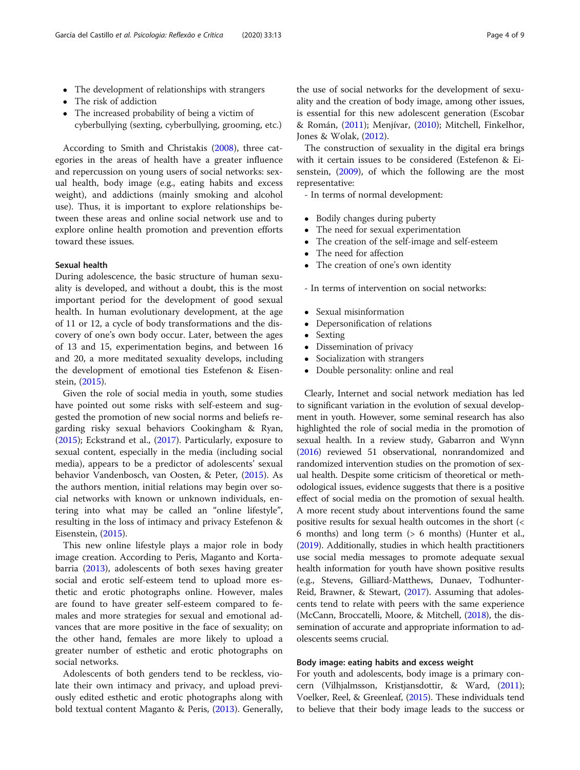- The development of relationships with strangers
- The risk of addiction
- The increased probability of being a victim of cyberbullying (sexting, cyberbullying, grooming, etc.)

According to Smith and Christakis [\(2008](#page-8-0)), three categories in the areas of health have a greater influence and repercussion on young users of social networks: sexual health, body image (e.g., eating habits and excess weight), and addictions (mainly smoking and alcohol use). Thus, it is important to explore relationships between these areas and online social network use and to explore online health promotion and prevention efforts toward these issues.

#### Sexual health

During adolescence, the basic structure of human sexuality is developed, and without a doubt, this is the most important period for the development of good sexual health. In human evolutionary development, at the age of 11 or 12, a cycle of body transformations and the discovery of one's own body occur. Later, between the ages of 13 and 15, experimentation begins, and between 16 and 20, a more meditated sexuality develops, including the development of emotional ties Estefenon & Eisenstein, [\(2015\)](#page-7-0).

Given the role of social media in youth, some studies have pointed out some risks with self-esteem and suggested the promotion of new social norms and beliefs regarding risky sexual behaviors Cookingham & Ryan, ([2015](#page-6-0)); Eckstrand et al., [\(2017\)](#page-7-0). Particularly, exposure to sexual content, especially in the media (including social media), appears to be a predictor of adolescents' sexual behavior Vandenbosch, van Oosten, & Peter, [\(2015\)](#page-8-0). As the authors mention, initial relations may begin over social networks with known or unknown individuals, entering into what may be called an "online lifestyle", resulting in the loss of intimacy and privacy Estefenon & Eisenstein, ([2015\)](#page-7-0).

This new online lifestyle plays a major role in body image creation. According to Peris, Maganto and Kortabarria [\(2013\)](#page-7-0), adolescents of both sexes having greater social and erotic self-esteem tend to upload more esthetic and erotic photographs online. However, males are found to have greater self-esteem compared to females and more strategies for sexual and emotional advances that are more positive in the face of sexuality; on the other hand, females are more likely to upload a greater number of esthetic and erotic photographs on social networks.

Adolescents of both genders tend to be reckless, violate their own intimacy and privacy, and upload previously edited esthetic and erotic photographs along with bold textual content Maganto & Peris, [\(2013\)](#page-7-0). Generally,

the use of social networks for the development of sexuality and the creation of body image, among other issues, is essential for this new adolescent generation (Escobar & Román, [\(2011\)](#page-7-0); Menjívar, [\(2010](#page-7-0)); Mitchell, Finkelhor, Jones & Wolak, ([2012](#page-7-0)).

The construction of sexuality in the digital era brings with it certain issues to be considered (Estefenon & Eisenstein, [\(2009\)](#page-7-0), of which the following are the most representative:

- In terms of normal development:

- Bodily changes during puberty
- The need for sexual experimentation
- The creation of the self-image and self-esteem
- The need for affection
- The creation of one's own identity
- In terms of intervention on social networks:
- Sexual misinformation
- Depersonification of relations<br>• Sexting
- Sexting<br>• Dissemi
- Dissemination of privacy
- Socialization with strangers<br>• Double personality: online a
- Double personality: online and real

Clearly, Internet and social network mediation has led to significant variation in the evolution of sexual development in youth. However, some seminal research has also highlighted the role of social media in the promotion of sexual health. In a review study, Gabarron and Wynn ([2016](#page-7-0)) reviewed 51 observational, nonrandomized and randomized intervention studies on the promotion of sexual health. Despite some criticism of theoretical or methodological issues, evidence suggests that there is a positive effect of social media on the promotion of sexual health. A more recent study about interventions found the same positive results for sexual health outcomes in the short (< 6 months) and long term (> 6 months) (Hunter et al., ([2019](#page-7-0)). Additionally, studies in which health practitioners use social media messages to promote adequate sexual health information for youth have shown positive results (e.g., Stevens, Gilliard-Matthews, Dunaev, Todhunter-Reid, Brawner, & Stewart, [\(2017](#page-8-0)). Assuming that adolescents tend to relate with peers with the same experience (McCann, Broccatelli, Moore, & Mitchell, [\(2018](#page-7-0)), the dissemination of accurate and appropriate information to adolescents seems crucial.

### Body image: eating habits and excess weight

For youth and adolescents, body image is a primary concern (Vilhjalmsson, Kristjansdottir, & Ward, [\(2011](#page-8-0)); Voelker, Reel, & Greenleaf, [\(2015](#page-8-0)). These individuals tend to believe that their body image leads to the success or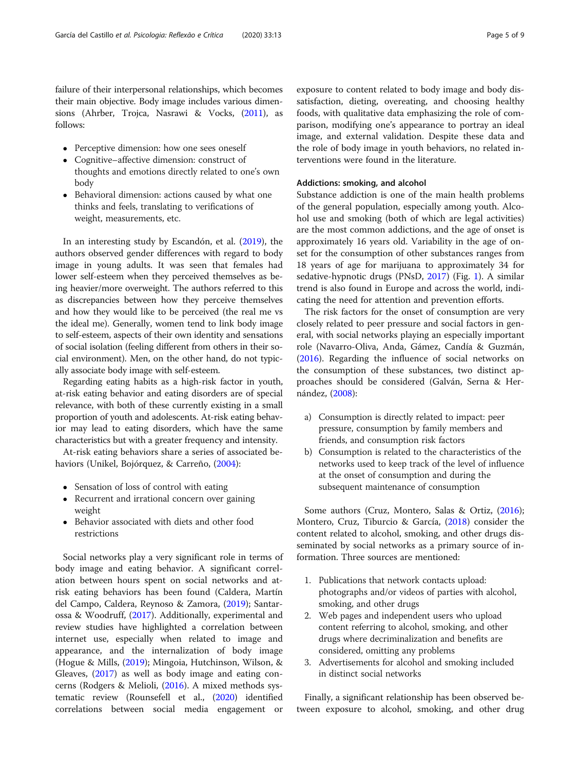failure of their interpersonal relationships, which becomes their main objective. Body image includes various dimensions (Ahrber, Trojca, Nasrawi & Vocks, ([2011](#page-6-0)), as follows:

- Perceptive dimension: how one sees oneself
- Cognitive–affective dimension: construct of thoughts and emotions directly related to one's own body
- Behavioral dimension: actions caused by what one thinks and feels, translating to verifications of weight, measurements, etc.

In an interesting study by Escandón, et al. ([2019\)](#page-7-0), the authors observed gender differences with regard to body image in young adults. It was seen that females had lower self-esteem when they perceived themselves as being heavier/more overweight. The authors referred to this as discrepancies between how they perceive themselves and how they would like to be perceived (the real me vs the ideal me). Generally, women tend to link body image to self-esteem, aspects of their own identity and sensations of social isolation (feeling different from others in their social environment). Men, on the other hand, do not typically associate body image with self-esteem.

Regarding eating habits as a high-risk factor in youth, at-risk eating behavior and eating disorders are of special relevance, with both of these currently existing in a small proportion of youth and adolescents. At-risk eating behavior may lead to eating disorders, which have the same characteristics but with a greater frequency and intensity.

At-risk eating behaviors share a series of associated behaviors (Unikel, Bojórquez, & Carreño, [\(2004](#page-8-0)):

- Sensation of loss of control with eating
- Recurrent and irrational concern over gaining weight
- Behavior associated with diets and other food restrictions

Social networks play a very significant role in terms of body image and eating behavior. A significant correlation between hours spent on social networks and atrisk eating behaviors has been found (Caldera, Martín del Campo, Caldera, Reynoso & Zamora, ([2019](#page-6-0)); Santarossa & Woodruff, ([2017](#page-8-0)). Additionally, experimental and review studies have highlighted a correlation between internet use, especially when related to image and appearance, and the internalization of body image (Hogue & Mills, ([2019\)](#page-7-0); Mingoia, Hutchinson, Wilson, & Gleaves, ([2017](#page-7-0)) as well as body image and eating concerns (Rodgers & Melioli, [\(2016\)](#page-7-0). A mixed methods systematic review (Rounsefell et al., [\(2020\)](#page-7-0) identified correlations between social media engagement or exposure to content related to body image and body dissatisfaction, dieting, overeating, and choosing healthy foods, with qualitative data emphasizing the role of comparison, modifying one's appearance to portray an ideal image, and external validation. Despite these data and the role of body image in youth behaviors, no related interventions were found in the literature.

#### Addictions: smoking, and alcohol

Substance addiction is one of the main health problems of the general population, especially among youth. Alcohol use and smoking (both of which are legal activities) are the most common addictions, and the age of onset is approximately 16 years old. Variability in the age of onset for the consumption of other substances ranges from 18 years of age for marijuana to approximately 34 for sedative-hypnotic drugs (PNsD, [2017\)](#page-7-0) (Fig. [1](#page-5-0)). A similar trend is also found in Europe and across the world, indicating the need for attention and prevention efforts.

The risk factors for the onset of consumption are very closely related to peer pressure and social factors in general, with social networks playing an especially important role (Navarro-Oliva, Anda, Gámez, Candía & Guzmán, ([2016\)](#page-7-0). Regarding the influence of social networks on the consumption of these substances, two distinct approaches should be considered (Galván, Serna & Hernández, [\(2008\)](#page-7-0):

- a) Consumption is directly related to impact: peer pressure, consumption by family members and friends, and consumption risk factors
- b) Consumption is related to the characteristics of the networks used to keep track of the level of influence at the onset of consumption and during the subsequent maintenance of consumption

Some authors (Cruz, Montero, Salas & Ortiz, ([2016](#page-6-0)); Montero, Cruz, Tiburcio & García, [\(2018\)](#page-7-0) consider the content related to alcohol, smoking, and other drugs disseminated by social networks as a primary source of information. Three sources are mentioned:

- 1. Publications that network contacts upload: photographs and/or videos of parties with alcohol, smoking, and other drugs
- 2. Web pages and independent users who upload content referring to alcohol, smoking, and other drugs where decriminalization and benefits are considered, omitting any problems
- 3. Advertisements for alcohol and smoking included in distinct social networks

Finally, a significant relationship has been observed between exposure to alcohol, smoking, and other drug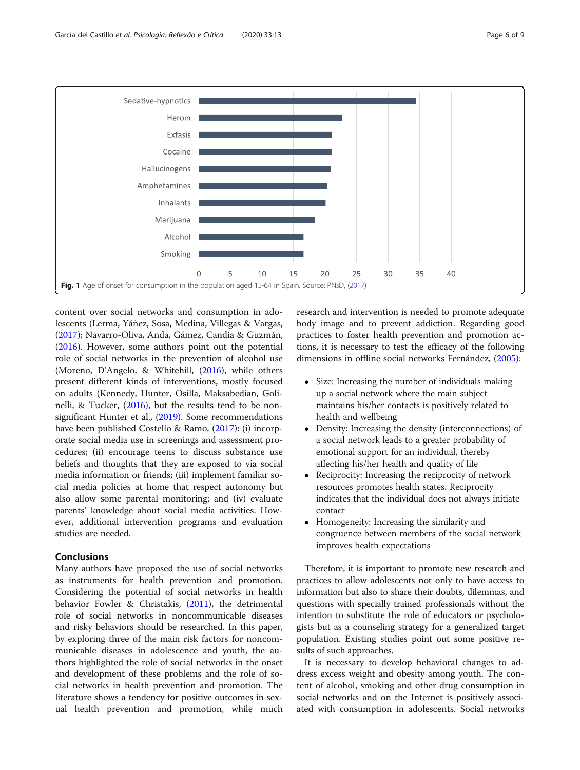<span id="page-5-0"></span>

content over social networks and consumption in adolescents (Lerma, Yáñez, Sosa, Medina, Villegas & Vargas, ([2017](#page-7-0)); Navarro-Oliva, Anda, Gámez, Candía & Guzmán, ([2016](#page-7-0)). However, some authors point out the potential role of social networks in the prevention of alcohol use (Moreno, D'Angelo, & Whitehill, ([2016](#page-7-0)), while others present different kinds of interventions, mostly focused on adults (Kennedy, Hunter, Osilla, Maksabedian, Golinelli, & Tucker, ([2016](#page-7-0)), but the results tend to be non-significant Hunter et al., ([2019\)](#page-7-0). Some recommendations have been published Costello & Ramo, ([2017\)](#page-6-0): (i) incorporate social media use in screenings and assessment procedures; (ii) encourage teens to discuss substance use beliefs and thoughts that they are exposed to via social media information or friends; (iii) implement familiar social media policies at home that respect autonomy but also allow some parental monitoring; and (iv) evaluate parents' knowledge about social media activities. However, additional intervention programs and evaluation studies are needed.

#### Conclusions

Many authors have proposed the use of social networks as instruments for health prevention and promotion. Considering the potential of social networks in health behavior Fowler & Christakis, ([2011](#page-7-0)), the detrimental role of social networks in noncommunicable diseases and risky behaviors should be researched. In this paper, by exploring three of the main risk factors for noncommunicable diseases in adolescence and youth, the authors highlighted the role of social networks in the onset and development of these problems and the role of social networks in health prevention and promotion. The literature shows a tendency for positive outcomes in sexual health prevention and promotion, while much research and intervention is needed to promote adequate body image and to prevent addiction. Regarding good practices to foster health prevention and promotion actions, it is necessary to test the efficacy of the following dimensions in offline social networks Fernández, [\(2005\)](#page-7-0):

- Size: Increasing the number of individuals making up a social network where the main subject maintains his/her contacts is positively related to health and wellbeing
- Density: Increasing the density (interconnections) of a social network leads to a greater probability of emotional support for an individual, thereby affecting his/her health and quality of life
- Reciprocity: Increasing the reciprocity of network resources promotes health states. Reciprocity indicates that the individual does not always initiate contact
- Homogeneity: Increasing the similarity and congruence between members of the social network improves health expectations

Therefore, it is important to promote new research and practices to allow adolescents not only to have access to information but also to share their doubts, dilemmas, and questions with specially trained professionals without the intention to substitute the role of educators or psychologists but as a counseling strategy for a generalized target population. Existing studies point out some positive results of such approaches.

It is necessary to develop behavioral changes to address excess weight and obesity among youth. The content of alcohol, smoking and other drug consumption in social networks and on the Internet is positively associated with consumption in adolescents. Social networks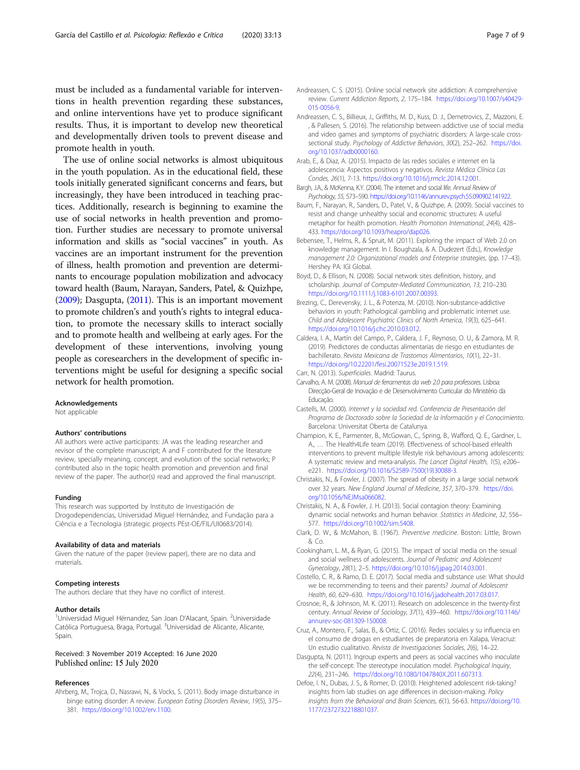<span id="page-6-0"></span>must be included as a fundamental variable for interventions in health prevention regarding these substances, and online interventions have yet to produce significant results. Thus, it is important to develop new theoretical and developmentally driven tools to prevent disease and promote health in youth.

The use of online social networks is almost ubiquitous in the youth population. As in the educational field, these tools initially generated significant concerns and fears, but increasingly, they have been introduced in teaching practices. Additionally, research is beginning to examine the use of social networks in health prevention and promotion. Further studies are necessary to promote universal information and skills as "social vaccines" in youth. As vaccines are an important instrument for the prevention of illness, health promotion and prevention are determinants to encourage population mobilization and advocacy toward health (Baum, Narayan, Sanders, Patel, & Quizhpe, (2009); Dasgupta, (2011). This is an important movement to promote children's and youth's rights to integral education, to promote the necessary skills to interact socially and to promote health and wellbeing at early ages. For the development of these interventions, involving young people as coresearchers in the development of specific interventions might be useful for designing a specific social network for health promotion.

#### Acknowledgements

Not applicable

#### Authors' contributions

All authors were active participants: JA was the leading researcher and revisor of the complete manuscript; A and F contributed for the literature review, specially meaning, concept, and evolution of the social networks; P contributed also in the topic health promotion and prevention and final review of the paper. The author(s) read and approved the final manuscript.

#### Funding

This research was supported by Instituto de Investigación de Drogodependencias, Universidad Miguel Hernández, and Fundação para a Ciência e a Tecnologia (strategic projects PEst-OE/FIL/UI0683/2014).

#### Availability of data and materials

Given the nature of the paper (review paper), there are no data and materials.

#### Competing interests

The authors declare that they have no conflict of interest.

#### Author details

<sup>1</sup>Universidad Miguel Hérnandez, San Joan D'Alacant, Spain. <sup>2</sup>Universidade Católica Portuguesa, Braga, Portugal. <sup>3</sup>Universidad de Alicante, Alicante, Spain.

## Received: 3 November 2019 Accepted: 16 June 2020

#### References

Ahrberg, M., Trojca, D., Nasrawi, N., & Vocks, S. (2011). Body image disturbance in binge eating disorder: A review. European Eating Disorders Review, 19(5), 375– 381. <https://doi.org/10.1002/erv.1100>.

- Andreassen, C. S. (2015). Online social network site addiction: A comprehensive review. Current Addiction Reports, 2, 175–184. [https://doi.org/10.1007/s40429-](https://doi.org/10.1007/s40429-015-0056-9) [015-0056-9](https://doi.org/10.1007/s40429-015-0056-9).
- Andreassen, C. S., Billieux, J., Griffiths, M. D., Kuss, D. J., Demetrovics, Z., Mazzoni, E. , & Pallesen, S. (2016). The relationship between addictive use of social media and video games and symptoms of psychiatric disorders: A large-scale crosssectional study. Psychology of Addictive Behaviors, 30(2), 252-262. [https://doi.](https://doi.org/10.1037/adb0000160) [org/10.1037/adb0000160.](https://doi.org/10.1037/adb0000160)
- Arab, E., & Diaz, A. (2015). Impacto de las redes sociales e internet en la adolescencia: Aspectos positivos y negativos. Revista Médica Clínica Las Condes, 26(1), 7-13. <https://doi.org/10.1016/j.rmclc.2014.12.001>.
- Bargh, J.A., & McKenna, K.Y. (2004). The internet and social life. Annual Review of Psychology, 55, 573–590. <https://doi.org/10.1146/annurev.psych.55.090902.141922>.
- Baum, F., Narayan, R., Sanders, D., Patel, V., & Quizhpe, A. (2009). Social vaccines to resist and change unhealthy social and economic structures: A useful metaphor for health promotion. Health Promotion International, 24(4), 428– 433. <https://doi.org/10.1093/heapro/dap026>.
- Bebensee, T., Helms, R., & Spruit, M. (2011). Exploring the impact of Web 2.0 on knowledge management. In I. Boughzala, & A. Dudezert (Eds.), Knowledge management 2.0: Organizational models and Enterprise strategies, (pp. 17–43). Hershey PA: IGI Global.
- Boyd, D., & Ellison, N. (2008). Social network sites definition, history, and scholarship. Journal of Computer-Mediated Communication, 13, 210–230. <https://doi.org/10.1111/j.1083-6101.2007.00393>.

Brezing, C., Derevensky, J. L., & Potenza, M. (2010). Non-substance-addictive behaviors in youth: Pathological gambling and problematic internet use. Child and Adolescent Psychiatric Clinics of North America, 19(3), 625–641. [https://doi.org/10.1016/j.chc.2010.03.012.](https://doi.org/10.1016/j.chc.2010.03.012)

- Caldera, I. A., Martín del Campo, P., Caldera, J. F., Reynoso, O. U., & Zamora, M. R. (2019). Predictores de conductas alimentarias de riesgo en estudiantes de bachillerato. Revista Mexicana de Trastornos Alimentarios, 10(1), 22–31. <https://doi.org/10.22201/fesi.20071523e.2019.1.519>.
- Carr, N. (2013). Superficiales. Madrid: Taurus.
- Carvalho, A. M. (2008). Manual de ferramentas da web 2.0 para professores. Lisboa: Direcção-Geral de Inovação e de Desenvolvimento Curricular do Ministério da Educação.
- Castells, M. (2000). Internet y la sociedad red. Conferencia de Presentación del Programa de Doctorado sobre la Sociedad de la Información y el Conocimiento. Barcelona: Universitat Oberta de Catalunya.
- Champion, K. E., Parmenter, B., McGowan, C., Spring, B., Wafford, Q. E., Gardner, L. A., … The Health4Life team (2019). Effectiveness of school-based eHealth interventions to prevent multiple lifestyle risk behaviours among adolescents: A systematic review and meta-analysis. The Lancet Digital Health, 1(5), e206– e221. [https://doi.org/10.1016/S2589-7500\(19\)30088-3.](https://doi.org/10.1016/S2589-7500(19)30088-3)
- Christakis, N., & Fowler, J. (2007). The spread of obesity in a large social network over 32 years. New England Journal of Medicine, 357, 370–379. [https://doi.](https://doi.org/10.1056/NEJMsa066082) [org/10.1056/NEJMsa066082.](https://doi.org/10.1056/NEJMsa066082)
- Christakis, N. A., & Fowler, J. H. (2013). Social contagion theory: Examining dynamic social networks and human behavior. Statistics in Medicine, 32, 556– 577. <https://doi.org/10.1002/sim.5408>.
- Clark, D. W., & McMahon, B. (1967). Preventive medicine. Boston: Little, Brown & Co.
- Cookingham, L. M., & Ryan, G. (2015). The impact of social media on the sexual and social wellness of adolescents. Journal of Pediatric and Adolescent Gynecology, 28(1), 2–5. [https://doi.org/10.1016/j.jpag.2014.03.001.](https://doi.org/10.1016/j.jpag.2014.03.001)
- Costello, C. R., & Ramo, D. E. (2017). Social media and substance use: What should we be recommending to teens and their parents? Journal of Adolescent Health, 60, 629–630. [https://doi.org/10.1016/j.jadohealth.2017.03.017.](https://doi.org/10.1016/j.jadohealth.2017.03.017)
- Crosnoe, R., & Johnson, M. K. (2011). Research on adolescence in the twenty-first century. Annual Review of Sociology, 37(1), 439–460. [https://doi.org/10.1146/](https://doi.org/10.1146/annurev-soc-081309-150008) [annurev-soc-081309-150008.](https://doi.org/10.1146/annurev-soc-081309-150008)
- Cruz, A., Montero, F., Salas, B., & Ortiz, C. (2016). Redes sociales y su influencia en el consumo de drogas en estudiantes de preparatoria en Xalapa, Veracruz: Un estudio cualitativo. Revista de Investigaciones Sociales, 2(6), 14–22.
- Dasgupta, N. (2011). Ingroup experts and peers as social vaccines who inoculate the self-concept: The stereotype inoculation model. Psychological Inquiry, 22(4), 231–246. [https://doi.org/10.1080/1047840X.2011.607313.](https://doi.org/10.1080/1047840X.2011.607313)
- Defoe, I. N., Dubas, J. S., & Romer, D. (2010). Heightened adolescent risk-taking? insights from lab studies on age differences in decision-making. Policy Insights from the Behavioral and Brain Sciences, 6(1), 56-63. [https://doi.org/10.](https://doi.org/10.1177/2372732218801037) [1177/2372732218801037](https://doi.org/10.1177/2372732218801037).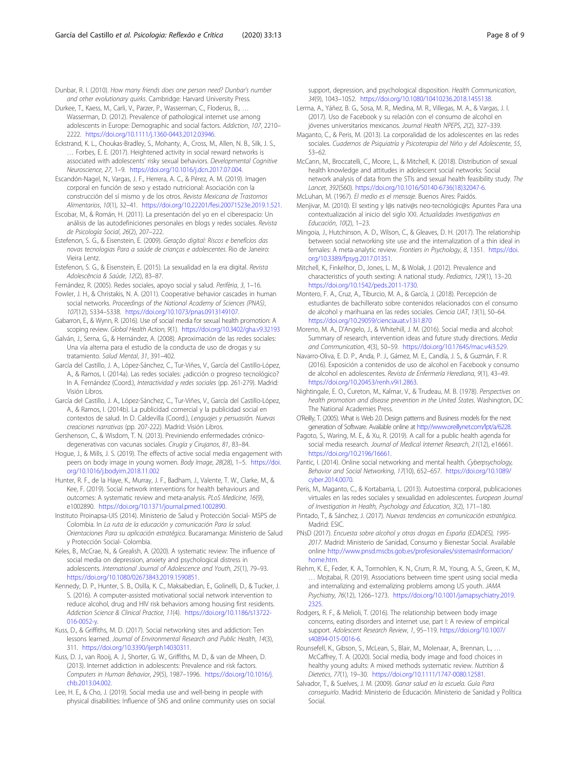<span id="page-7-0"></span>Dunbar, R. I. (2010). How many friends does one person need? Dunbar's number and other evolutionary quirks. Cambridge: Harvard University Press.

Durkee, T., Kaess, M., Carli, V., Parzer, P., Wasserman, C., Floderus, B., … Wasserman, D. (2012). Prevalence of pathological internet use among adolescents in Europe: Demographic and social factors. Addiction, 107, 2210– 2222. <https://doi.org/10.1111/j.1360-0443.2012.03946>.

- Eckstrand, K. L., Choukas-Bradley, S., Mohanty, A., Cross, M., Allen, N. B., Silk, J. S., … Forbes, E. E. (2017). Heightened activity in social reward networks is associated with adolescents' risky sexual behaviors. Developmental Cognitive Neuroscience, 27, 1–9. <https://doi.org/10.1016/j.dcn.2017.07.004>.
- Escandón-Nagel, N., Vargas, J. F., Herrera, A. C., & Pérez, A. M. (2019). Imagen corporal en función de sexo y estado nutricional: Asociación con la construcción del sí mismo y de los otros. Revista Mexicana de Trastornos Alimentarios, 10(1), 32–41. <https://doi.org/10.22201/fesi.20071523e.2019.1.521>.
- Escobar, M., & Román, H. (2011). La presentación del yo en el ciberespacio: Un análisis de las autodefiniciones personales en blogs y redes sociales. Revista de Psicología Social, 26(2), 207–222.
- Estefenon, S. G., & Eisenstein, E. (2009). Geração digital: Riscos e benefícios das novas tecnologias Para a saúde de crianças e adolescentes. Rio de Janeiro: Vieira Lentz.
- Estefenon, S. G., & Eisenstein, E. (2015). La sexualidad en la era digital. Revista Adolescência & Saúde, 12(2), 83–87.
- Fernández, R. (2005). Redes sociales, apoyo social y salud. Perifèria, 3, 1–16.
- Fowler, J. H., & Christakis, N. A. (2011). Cooperative behavior cascades in human social networks. Proceedings of the National Academy of Sciences (PNAS), 107(12), 5334–5338. [https://doi.org/10.1073/pnas.0913149107.](https://doi.org/10.1073/pnas.0913149107)
- Gabarron, E., & Wynn, R. (2016). Use of social media for sexual health promotion: A scoping review. Global Health Action, 9(1). <https://doi.org/10.3402/gha.v9.32193>
- Galván, J., Serna, G., & Hernández, A. (2008). Aproximación de las redes sociales: Una vía alterna para el estudio de la conducta de uso de drogas y su tratamiento. Salud Mental, 31, 391–402.
- García del Castillo, J. A., López-Sánchez, C., Tur-Viñes, V., García del Castillo-López, A., & Ramos, I. (2014a). Las redes sociales: ¿adicción o progreso tecnológico? In A. Fernández (Coord.), Interactividad y redes sociales (pp. 261-279). Madrid: Visión Libros.
- García del Castillo, J. A., López-Sánchez, C., Tur-Viñes, V., García del Castillo-López, A., & Ramos, I. (2014b). La publicidad comercial y la publicidad social en contextos de salud. In D. Caldevilla (Coord.), Lenguajes y persuasión. Nuevas creaciones narrativas (pp. 207-222). Madrid: Visión Libros.
- Gershenson, C., & Wisdom, T. N. (2013). Previniendo enfermedades crónicodegenerativas con vacunas sociales. Cirugía y Cirujanos, 81, 83–84.
- Hogue, J., & Mills, J. S. (2019). The effects of active social media engagement with peers on body image in young women. Body Image, 28(28), 1–5. [https://doi.](https://doi.org/10.1016/j.bodyim.2018.11.002) [org/10.1016/j.bodyim.2018.11.002](https://doi.org/10.1016/j.bodyim.2018.11.002)
- Hunter, R. F., de la Haye, K., Murray, J. F., Badham, J., Valente, T. W., Clarke, M., & Kee, F. (2019). Social network interventions for health behaviours and outcomes: A systematic review and meta-analysis. PLoS Medicine, 16(9), e1002890. <https://doi.org/10.1371/journal.pmed.1002890>.
- Instituto Proinapsa-UIS (2014). Ministerio de Salud y Protección Social- MSPS de Colombia. In La ruta de la educación y comunicación Para la salud. Orientaciones Para su aplicación estratégica. Bucaramanga: Ministerio de Salud y Protección Social- Colombia.
- Keles, B., McCrae, N., & Grealish, A. (2020). A systematic review: The influence of social media on depression, anxiety and psychological distress in adolescents. International Journal of Adolescence and Youth, 25(1), 79–93. <https://doi.org/10.1080/02673843.2019.1590851>.
- Kennedy, D. P., Hunter, S. B., Osilla, K. C., Maksabedian, E., Golinelli, D., & Tucker, J. S. (2016). A computer-assisted motivational social network intervention to reduce alcohol, drug and HIV risk behaviors among housing first residents. Addiction Science & Clinical Practice, 11(4). [https://doi.org/10.1186/s13722-](https://doi.org/10.1186/s13722-016-0052-y) [016-0052-y.](https://doi.org/10.1186/s13722-016-0052-y)
- Kuss, D., & Griffiths, M. D. (2017). Social networking sites and addiction: Ten lessons learned. Journal of Environmental Research and Public Health, 14(3), 311. <https://doi.org/10.3390/ijerph14030311>.
- Kuss, D. J., van Rooij, A. J., Shorter, G. W., Griffiths, M. D., & van de Mheen, D. (2013). Internet addiction in adolescents: Prevalence and risk factors. Computers in Human Behavior, 29(5), 1987–1996. [https://doi.org/10.1016/j.](https://doi.org/10.1016/j.chb.2013.04.002) [chb.2013.04.002.](https://doi.org/10.1016/j.chb.2013.04.002)
- Lee, H. E., & Cho, J. (2019). Social media use and well-being in people with physical disabilities: Influence of SNS and online community uses on social

support, depression, and psychological disposition. Health Communication, 34(9), 1043–1052. <https://doi.org/10.1080/10410236.2018.1455138>.

- Lerma, A., Yáñez, B. G., Sosa, M. R., Medina, M. R., Villegas, M. A., & Vargas, J. I. (2017). Uso de Facebook y su relación con el consumo de alcohol en jóvenes universitarios mexicanos. Journal Health NPEPS, 2(2), 327–339.
- Maganto, C., & Peris, M. (2013). La corporalidad de los adolescentes en las redes sociales. Cuadernos de Psiquiatría y Psicoterapia del Niño y del Adolescente, 55, 53–62.
- McCann, M., Broccatelli, C., Moore, L., & Mitchell, K. (2018). Distribution of sexual health knowledge and attitudes in adolescent social networks: Social network analysis of data from the STIs and sexual health feasibility study. The Lancet, 392(S60). [https://doi.org/10.1016/S0140-6736\(18\)32047-6.](https://doi.org/10.1016/S0140-6736(18)32047-6)
- McLuhan, M. (1967). El medio es el mensaje. Buenos Aires: Paidós.
- Menjivar, M. (2010). El sexting y l@s nativ@s neo-tecnológic@s: Apuntes Para una contextualización al inicio del siglo XXI. Actualidades Investigativas en Educación, 10(2), 1–23.
- Mingoia, J., Hutchinson, A. D., Wilson, C., & Gleaves, D. H. (2017). The relationship between social networking site use and the internalization of a thin ideal in females: A meta-analytic review. Frontiers in Psychology, 8, 1351. [https://doi.](https://doi.org/10.3389/fpsyg.2017.01351) [org/10.3389/fpsyg.2017.01351](https://doi.org/10.3389/fpsyg.2017.01351).
- Mitchell, K., Finkelhor, D., Jones, L. M., & Wolak, J. (2012). Prevalence and characteristics of youth sexting: A national study. Pediatrics, 129(1), 13–20. <https://doi.org/10.1542/peds.2011-1730>.
- Montero, F. A., Cruz, A., Tiburcio, M. A., & García, J. (2018). Percepción de estudiantes de bachillerato sobre contenidos relacionados con el consumo de alcohol y marihuana en las redes sociales. Ciencia UAT, 13(1), 50–64. <https://doi.org/10.29059/cienciauat.v13i1.870>
- Moreno, M. A., D'Angelo, J., & Whitehill, J. M. (2016). Social media and alcohol: Summary of research, intervention ideas and future study directions. Media and Communication, 4(3), 50–59. <https://doi.org/10.17645/mac.v4i3.529>.
- Navarro-Oliva, E. D. P., Anda, P. J., Gámez, M. E., Candía, J. S., & Guzmán, F. R. (2016). Exposición a contenidos de uso de alcohol en Facebook y consumo de alcohol en adolescentes. Revista de Enfermería Herediana, 9(1), 43–49. [https://doi.org/10.20453/renh.v9i1.2863.](https://doi.org/10.20453/renh.v9i1.2863)
- Nightingale, E. O., Cureton, M., Kalmar, V., & Trudeau, M. B. (1978). Perspectives on health promotion and disease prevention in the United States. Washington, DC: The National Academies Press.
- O'Reilly, T. (2005). What is Web 2.0. Design patterns and Business models for the next generation of Software. Available online at <http://www.oreillynet.com/lpt/a/6228>
- Pagoto, S., Waring, M. E., & Xu, R. (2019). A call for a public health agenda for social media research. Journal of Medical Internet Research, 21(12), e16661. [https://doi.org/10.2196/16661.](https://doi.org/10.2196/16661)
- Pantic, I. (2014). Online social networking and mental health. Cyberpsychology, Behavior and Social Networking, 17(10), 652–657. [https://doi.org/10.1089/](https://doi.org/10.1089/cyber.2014.0070) [cyber.2014.0070.](https://doi.org/10.1089/cyber.2014.0070)
- Peris, M., Maganto, C., & Kortabarria, L. (2013). Autoestima corporal, publicaciones virtuales en las redes sociales y sexualidad en adolescentes. European Journal of Investigation in Health, Psychology and Education, 3(2), 171–180.
- Pintado, T., & Sánchez, J. (2017). Nuevas tendencias en comunicación estratégica. Madrid: ESIC.
- PNsD (2017). Encuesta sobre alcohol y otras drogas en España (EDADES), 1995- 2017. Madrid: Ministerio de Sanidad, Consumo y Bienestar Social. Available online [http://www.pnsd.mscbs.gob.es/profesionales/sistemasInformacion/](http://www.pnsd.mscbs.gob.es/profesionales/sistemasInformacion/home.htm) [home.htm](http://www.pnsd.mscbs.gob.es/profesionales/sistemasInformacion/home.htm).
- Riehm, K. E., Feder, K. A., Tormohlen, K. N., Crum, R. M., Young, A. S., Green, K. M., … Mojtabai, R. (2019). Associations between time spent using social media and internalizing and externalizing problems among US youth. JAMA Psychiatry, 76(12), 1266–1273. [https://doi.org/10.1001/jamapsychiatry.2019.](https://doi.org/10.1001/jamapsychiatry.2019.2325) [2325](https://doi.org/10.1001/jamapsychiatry.2019.2325).
- Rodgers, R. F., & Melioli, T. (2016). The relationship between body image concerns, eating disorders and internet use, part I: A review of empirical support. Adolescent Research Review, 1, 95–119. [https://doi.org/10.1007/](https://doi.org/10.1007/s40894-015-0016-6) [s40894-015-0016-6.](https://doi.org/10.1007/s40894-015-0016-6)
- Rounsefell, K., Gibson, S., McLean, S., Blair, M., Molenaar, A., Brennan, L., … McCaffrey, T. A. (2020). Social media, body image and food choices in healthy young adults: A mixed methods systematic review. Nutrition & Dietetics, 77(1), 19–30. <https://doi.org/10.1111/1747-0080.12581>.
- Salvador, T., & Suelves, J. M. (2009). Ganar salud en la escuela. Guía Para conseguirlo. Madrid: Ministerio de Educación. Ministerio de Sanidad y Política Social.